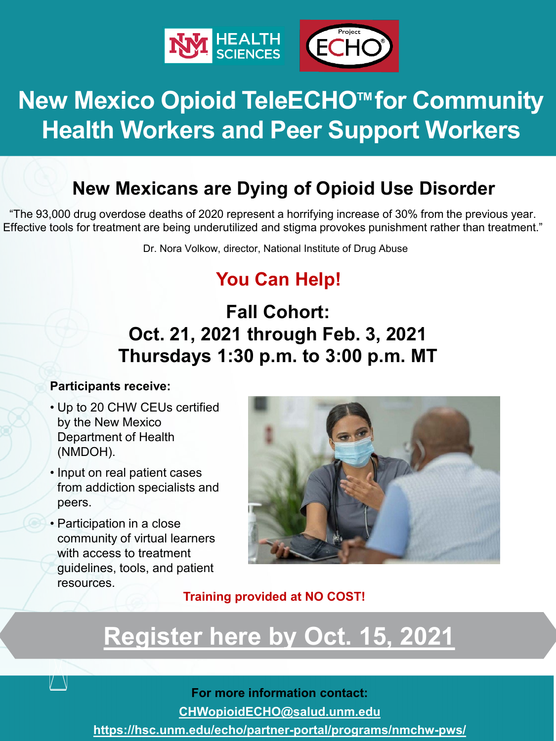

# **New Mexico Opioid TeleECHO™ for Community Health Workers and Peer Support Workers**

## **New Mexicans are Dying of Opioid Use Disorder**

 "The 93,000 drug overdose deaths of 2020 represent a horrifying increase of 30% from the previous year. Effective tools for treatment are being underutilized and stigma provokes punishment rather than treatment."

Dr. Nora Volkow, director, National Institute of Drug Abuse

## **You Can Help!**

## **Oct. 21, 2021 through Feb. 3, 2021 Fall Cohort: Thursdays 1:30 p.m. to 3:00 p.m. MT**

#### **Participants receive:**

- • Up to 20 CHW CEUs certified Department of Health by the New Mexico (NMDOH).
- • Input on real patient cases from addiction specialists and peers.
- community of virtual learners guidelines, tools, and patient • Participation in a close with access to treatment resources.



### **Training provided at NO COST!**

# **[Register here by Oct. 15, 2021](https://ctsctrials.health.unm.edu/redcap/surveys/?s=C7KDHP3JHT)**

#### **For more information contact:**

**[CHWopioidECHO@salud.unm.edu](mailto:CHWOpioidECHO@salud.unm.edu)** 

**<https://hsc.unm.edu/echo/partner-portal/programs/nmchw-pws/>**